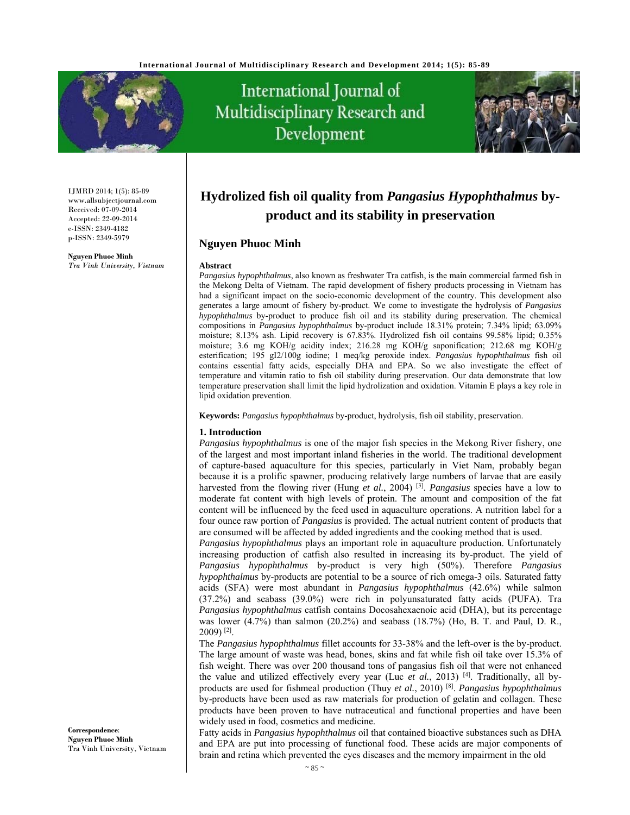

# International Journal of Multidisciplinary Research and Development



IJMRD 2014; 1(5): 85-89 www.allsubjectjournal.com Received: 07-09-2014 Accepted: 22-09-2014 e-ISSN: 2349-4182 p-ISSN: 2349-5979

**Nguyen Phuoc Minh** *Tra Vinh University, Vietnam* 

**Correspondence**: **Nguyen Phuoc Minh** Tra Vinh University, Vietnam

# **Hydrolized fish oil quality from** *Pangasius Hypophthalmus* **byproduct and its stability in preservation**

### **Nguyen Phuoc Minh**

#### **Abstract**

*Pangasius hypophthalmus*, also known as freshwater Tra catfish, is the main commercial farmed fish in the Mekong Delta of Vietnam. The rapid development of fishery products processing in Vietnam has had a significant impact on the socio-economic development of the country. This development also generates a large amount of fishery by-product. We come to investigate the hydrolysis of *Pangasius hypophthalmus* by-product to produce fish oil and its stability during preservation. The chemical compositions in *Pangasius hypophthalmus* by-product include 18.31% protein; 7.34% lipid; 63.09% moisture; 8.13% ash. Lipid recovery is 67.83%. Hydrolized fish oil contains 99.58% lipid; 0.35% moisture; 3.6 mg KOH/g acidity index; 216.28 mg KOH/g saponification; 212.68 mg KOH/g esterification; 195 gI2/100g iodine; 1 meq/kg peroxide index. *Pangasius hypophthalmus* fish oil contains essential fatty acids, especially DHA and EPA. So we also investigate the effect of temperature and vitamin ratio to fish oil stability during preservation. Our data demonstrate that low temperature preservation shall limit the lipid hydrolization and oxidation. Vitamin E plays a key role in lipid oxidation prevention.

**Keywords:** *Pangasius hypophthalmus* by-product, hydrolysis, fish oil stability, preservation.

#### **1. Introduction**

*Pangasius hypophthalmus* is one of the major fish species in the Mekong River fishery, one of the largest and most important inland fisheries in the world. The traditional development of capture-based aquaculture for this species, particularly in Viet Nam, probably began because it is a prolific spawner, producing relatively large numbers of larvae that are easily harvested from the flowing river (Hung *et al.*, 2004) [3]. *Pangasius* species have a low to moderate fat content with high levels of protein. The amount and composition of the fat content will be influenced by the feed used in aquaculture operations. A nutrition label for a four ounce raw portion of *Pangasius* is provided. The actual nutrient content of products that are consumed will be affected by added ingredients and the cooking method that is used.

*Pangasius hypophthalmus* plays an important role in aquaculture production. Unfortunately increasing production of catfish also resulted in increasing its by-product. The yield of *Pangasius hypophthalmus* by-product is very high (50%). Therefore *Pangasius hypophthalmus* by-products are potential to be a source of rich omega-3 oils. Saturated fatty acids (SFA) were most abundant in *Pangasius hypophthalmus* (42.6%) while salmon (37.2%) and seabass (39.0%) were rich in polyunsaturated fatty acids (PUFA). Tra *Pangasius hypophthalmus* catfish contains Docosahexaenoic acid (DHA), but its percentage was lower (4.7%) than salmon (20.2%) and seabass (18.7%) (Ho, B. T. and Paul, D. R.,  $2009$ <sup>[2]</sup>.

The *Pangasius hypophthalmus* fillet accounts for 33-38% and the left-over is the by-product. The large amount of waste was head, bones, skins and fat while fish oil take over 15.3% of fish weight. There was over 200 thousand tons of pangasius fish oil that were not enhanced the value and utilized effectively every year (Luc *et al.*, 2013) <sup>[4]</sup>. Traditionally, all byproducts are used for fishmeal production (Thuy *et al.*, 2010) [8]. *Pangasius hypophthalmus* by-products have been used as raw materials for production of gelatin and collagen. These products have been proven to have nutraceutical and functional properties and have been widely used in food, cosmetics and medicine.

Fatty acids in *Pangasius hypophthalmus* oil that contained bioactive substances such as DHA and EPA are put into processing of functional food. These acids are major components of brain and retina which prevented the eyes diseases and the memory impairment in the old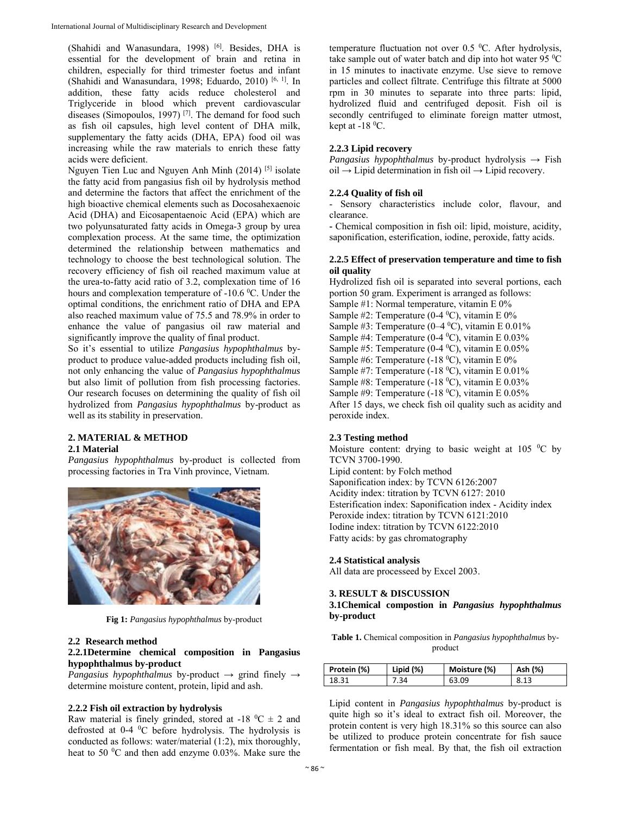(Shahidi and Wanasundara, 1998) [6]. Besides, DHA is essential for the development of brain and retina in children, especially for third trimester foetus and infant (Shahidi and Wanasundara, 1998; Eduardo, 2010) [6, 1]. In addition, these fatty acids reduce cholesterol and Triglyceride in blood which prevent cardiovascular diseases (Simopoulos, 1997)<sup>[7]</sup>. The demand for food such as fish oil capsules, high level content of DHA milk, supplementary the fatty acids (DHA, EPA) food oil was increasing while the raw materials to enrich these fatty acids were deficient.

Nguyen Tien Luc and Nguyen Anh Minh (2014) [5] isolate the fatty acid from pangasius fish oil by hydrolysis method and determine the factors that affect the enrichment of the high bioactive chemical elements such as Docosahexaenoic Acid (DHA) and Eicosapentaenoic Acid (EPA) which are two polyunsaturated fatty acids in Omega-3 group by urea complexation process. At the same time, the optimization determined the relationship between mathematics and technology to choose the best technological solution. The recovery efficiency of fish oil reached maximum value at the urea-to-fatty acid ratio of 3.2, complexation time of 16 hours and complexation temperature of -10.6 °C. Under the optimal conditions, the enrichment ratio of DHA and EPA also reached maximum value of 75.5 and 78.9% in order to enhance the value of pangasius oil raw material and significantly improve the quality of final product.

So it's essential to utilize *Pangasius hypophthalmus* byproduct to produce value-added products including fish oil, not only enhancing the value of *Pangasius hypophthalmus* but also limit of pollution from fish processing factories. Our research focuses on determining the quality of fish oil hydrolized from *Pangasius hypophthalmus* by-product as well as its stability in preservation.

# **2. MATERIAL & METHOD**

#### **2.1 Material**

*Pangasius hypophthalmus* by-product is collected from processing factories in Tra Vinh province, Vietnam.



**Fig 1:** *Pangasius hypophthalmus* by-product

#### **2.2 Research method**

#### **2.2.1Determine chemical composition in Pangasius hypophthalmus by-product**

*Pangasius hypophthalmus* by-product  $\rightarrow$  grind finely  $\rightarrow$ determine moisture content, protein, lipid and ash.

#### **2.2.2 Fish oil extraction by hydrolysis**

Raw material is finely grinded, stored at -18  $^{\circ}$ C  $\pm$  2 and defrosted at 0-4 <sup>0</sup>C before hydrolysis. The hydrolysis is conducted as follows: water/material (1:2), mix thoroughly, heat to 50 $\mathrm{^{0}C}$  and then add enzyme 0.03%. Make sure the

temperature fluctuation not over  $0.5\text{ °C}$ . After hydrolysis, take sample out of water batch and dip into hot water 95 $\mathrm{^{0}C}$ in 15 minutes to inactivate enzyme. Use sieve to remove particles and collect filtrate. Centrifuge this filtrate at 5000 rpm in 30 minutes to separate into three parts: lipid, hydrolized fluid and centrifuged deposit. Fish oil is secondly centrifuged to eliminate foreign matter utmost, kept at  $-18$  <sup>0</sup>C.

# **2.2.3 Lipid recovery**

*Pangasius hypophthalmus* by-product hydrolysis  $\rightarrow$  Fish  $oil \rightarrow Lipid$  determination in fish oil  $\rightarrow$  Lipid recovery.

## **2.2.4 Quality of fish oil**

- Sensory characteristics include color, flavour, and clearance.

**-** Chemical composition in fish oil: lipid, moisture, acidity, saponification, esterification, iodine, peroxide, fatty acids.

### **2.2.5 Effect of preservation temperature and time to fish oil quality**

Hydrolized fish oil is separated into several portions, each portion 50 gram. Experiment is arranged as follows: Sample #1: Normal temperature, vitamin E 0% Sample #2: Temperature  $(0-4 °C)$ , vitamin E 0% Sample #3: Temperature  $(0-4\text{ }^0C)$ , vitamin E 0.01% Sample #4: Temperature (0-4  $^0$ C), vitamin E 0.03% Sample #5: Temperature (0-4  $^0$ C), vitamin E 0.05% Sample #6: Temperature  $(-18<sup>0</sup>C)$ , vitamin E 0% Sample #7: Temperature  $(-18<sup>0</sup>C)$ , vitamin E 0.01% Sample #8: Temperature  $(-18<sup>0</sup>C)$ , vitamin E 0.03% Sample #9: Temperature  $(-18 \degree C)$ , vitamin E 0.05% After 15 days, we check fish oil quality such as acidity and peroxide index.

# **2.3 Testing method**

Moisture content: drying to basic weight at 105  $\mathrm{^0C}$  by TCVN 3700-1990.

Lipid content: by Folch method Saponification index: by TCVN 6126:2007 Acidity index: titration by TCVN 6127: 2010 Esterification index: Saponification index - Acidity index Peroxide index: titration by TCVN 6121:2010 Iodine index: titration by TCVN 6122:2010 Fatty acids: by gas chromatography

#### **2.4 Statistical analysis**

All data are processeed by Excel 2003.

# **3. RESULT & DISCUSSION**

### **3.1Chemical compostion in** *Pangasius hypophthalmus*  **by-product**

**Table 1.** Chemical composition in *Pangasius hypophthalmus* byproduct

| Protein (%) | Lipid $(\%)$ | Moisture (%) | Ash (%) |
|-------------|--------------|--------------|---------|
| 18.31       | 7.34         | 63.09        | 8.13    |

Lipid content in *Pangasius hypophthalmus* by-product is quite high so it's ideal to extract fish oil. Moreover, the protein content is very high 18.31% so this source can also be utilized to produce protein concentrate for fish sauce fermentation or fish meal. By that, the fish oil extraction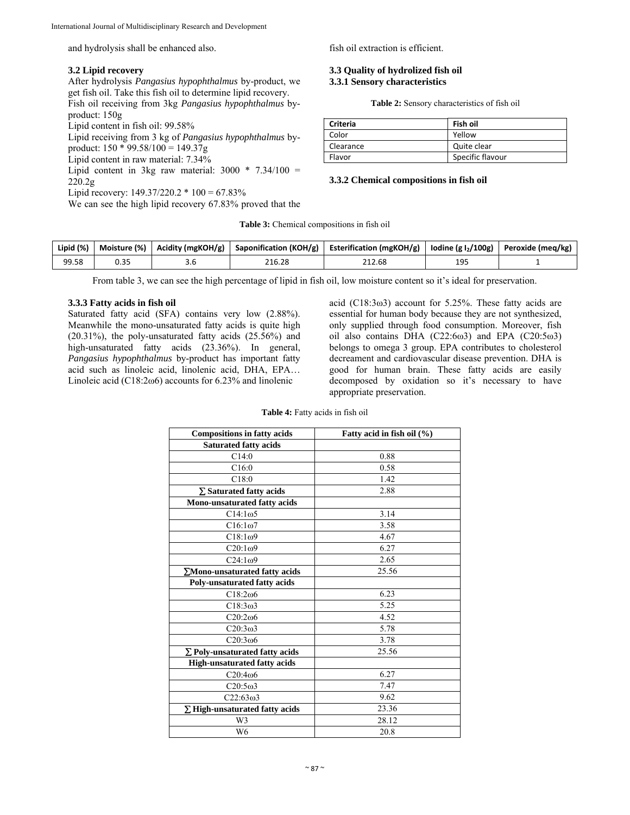and hydrolysis shall be enhanced also.

## **3.2 Lipid recovery**

After hydrolysis *Pangasius hypophthalmus* by-product, we get fish oil. Take this fish oil to determine lipid recovery.

Fish oil receiving from 3kg *Pangasius hypophthalmus* byproduct: 150g

Lipid content in fish oil: 99.58%

Lipid receiving from 3 kg of *Pangasius hypophthalmus* byproduct:  $150 * 99.58/100 = 149.37g$ 

Lipid content in raw material: 7.34%

Lipid content in 3kg raw material:  $3000 * 7.34/100 =$ 220.2g

Lipid recovery:  $149.37/220.2 * 100 = 67.83\%$ 

We can see the high lipid recovery 67.83% proved that the

fish oil extraction is efficient.

#### **3.3 Quality of hydrolized fish oil 3.3.1 Sensory characteristics**

**Table 2:** Sensory characteristics of fish oil

| <b>Criteria</b> | Fish oil         |
|-----------------|------------------|
| Color           | Yellow           |
| Clearance       | Quite clear      |
| Flavor          | Specific flavour |

#### **3.3.2 Chemical compositions in fish oil**

**Table 3:** Chemical compositions in fish oil

| Lipid (%) | Moisture (%) | Acidity (mgKOH/g) | Saponification (KOH/g) | <b>Esterification (mgKOH/g)</b> | lodine (g $l_2$ /100g) | Peroxide (meg/kg) |
|-----------|--------------|-------------------|------------------------|---------------------------------|------------------------|-------------------|
| 99.58     | יר ה<br>U.SJ |                   | 216.28                 | 212.68                          | 195<br>∸∸              |                   |

From table 3, we can see the high percentage of lipid in fish oil, low moisture content so it's ideal for preservation.

### **3.3.3 Fatty acids in fish oil**

Saturated fatty acid (SFA) contains very low (2.88%). Meanwhile the mono-unsaturated fatty acids is quite high (20.31%), the poly-unsaturated fatty acids (25.56%) and high-unsaturated fatty acids (23.36%). In general, *Pangasius hypophthalmus* by-product has important fatty acid such as linoleic acid, linolenic acid, DHA, EPA… Linoleic acid (C18:2ω6) accounts for 6.23% and linolenic

acid (C18:3ω3) account for 5.25%. These fatty acids are essential for human body because they are not synthesized, only supplied through food consumption. Moreover, fish oil also contains DHA  $(C22:6\omega3)$  and EPA  $(C20:5\omega3)$ belongs to omega 3 group. EPA contributes to cholesterol decreament and cardiovascular disease prevention. DHA is good for human brain. These fatty acids are easily decomposed by oxidation so it's necessary to have appropriate preservation.

| <b>Compositions in fatty acids</b>    | Fatty acid in fish oil (%) |  |  |
|---------------------------------------|----------------------------|--|--|
| <b>Saturated fatty acids</b>          |                            |  |  |
| C14:0                                 | 0.88                       |  |  |
| C16:0                                 | 0.58                       |  |  |
| C18:0                                 | 1.42                       |  |  |
| $\Sigma$ Saturated fatty acids        | 2.88                       |  |  |
| Mono-unsaturated fatty acids          |                            |  |  |
| $C14:1\omega$ 5                       | 3.14                       |  |  |
| $C16:1\omega$                         | 3.58                       |  |  |
| C18:1 <sub>0</sub> 9                  | 4.67                       |  |  |
| $C20:1\omega9$                        | 6.27                       |  |  |
| C24:1 <sub>0</sub> 9                  | 2.65                       |  |  |
| ∑Mono-unsaturated fatty acids         | 25.56                      |  |  |
| Poly-unsaturated fatty acids          |                            |  |  |
| C18:206                               | 6.23                       |  |  |
| C18:3 <sub>0</sub> 3                  | 5.25                       |  |  |
| $C20:2\omega$                         | 4.52                       |  |  |
| C20:3 <sub>0</sub> 3                  | 5.78                       |  |  |
| $C20:3\omega$ 6                       | 3.78                       |  |  |
| $\Sigma$ Poly-unsaturated fatty acids | 25.56                      |  |  |
| <b>High-unsaturated fatty acids</b>   |                            |  |  |
| C20:406                               | 6.27                       |  |  |
| $C20:5\omega$ 3                       | 7.47                       |  |  |
| $C22:63\omega3$                       | 9.62                       |  |  |
| $\Sigma$ High-unsaturated fatty acids | 23.36                      |  |  |
| W3                                    | 28.12                      |  |  |
| W <sub>6</sub>                        | 20.8                       |  |  |

**Table 4:** Fatty acids in fish oil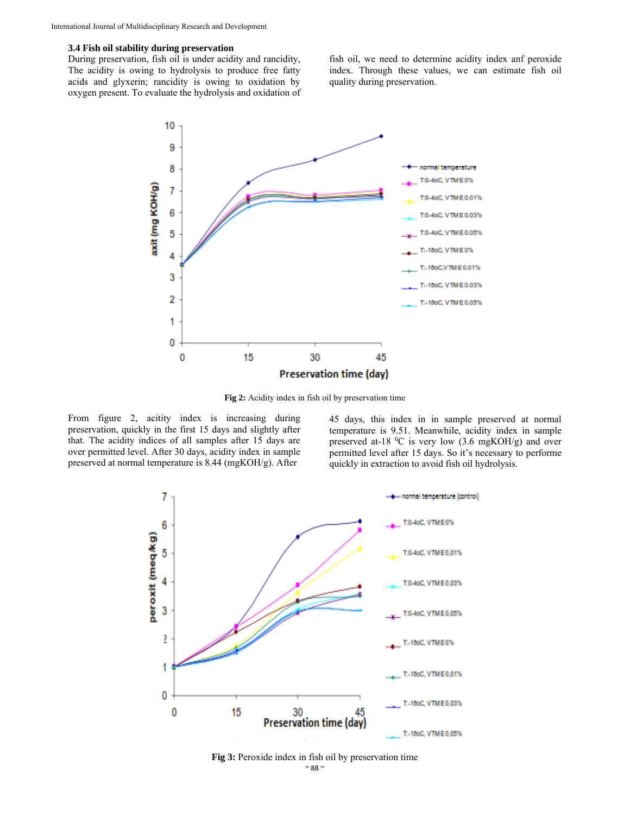#### **3.4 Fish oil stability during preservation**

During preservation, fish oil is under acidity and rancidity, The acidity is owing to hydrolysis to produce free fatty acids and glyxerin; rancidity is owing to oxidation by oxygen present. To evaluate the hydrolysis and oxidation of

fish oil, we need to determine acidity index anf peroxide index. Through these values, we can estimate fish oil quality during preservation.



**Fig 2:** Acidity index in fish oil by preservation time

From figure 2, acitity index is increasing during preservation, quickly in the first 15 days and slightly after that. The acidity indices of all samples after 15 days are over permitted level. After 30 days, acidity index in sample preserved at normal temperature is 8.44 (mgKOH/g). After

45 days, this index in in sample preserved at normal temperature is 9.51. Meanwhile, acidity index in sample preserved at-18  $^{0}$ C is very low (3.6 mgKOH/g) and over permitted level after 15 days. So it's necessary to performe quickly in extraction to avoid fish oil hydrolysis.



Fig 3: Peroxide index in fish oil by preservation time